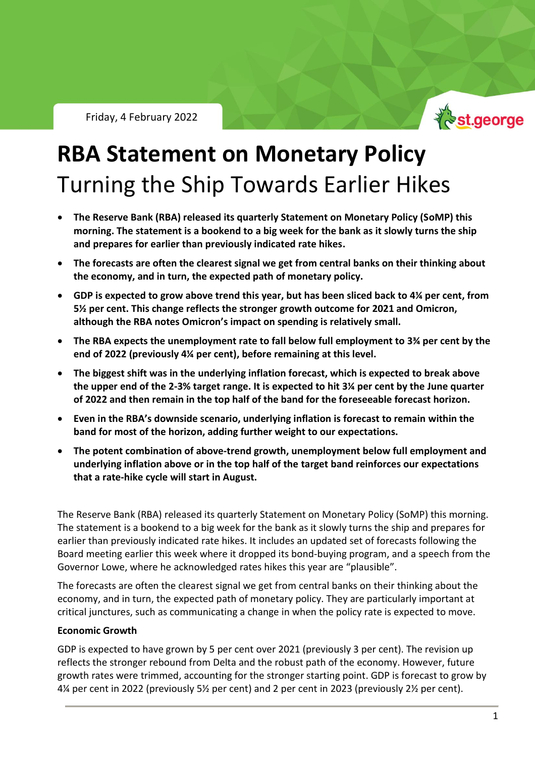

# **RBA Statement on Monetary Policy** Turning the Ship Towards Earlier Hikes

- **The Reserve Bank (RBA) released its quarterly Statement on Monetary Policy (SoMP) this morning. The statement is a bookend to a big week for the bank as it slowly turns the ship and prepares for earlier than previously indicated rate hikes.**
- **The forecasts are often the clearest signal we get from central banks on their thinking about the economy, and in turn, the expected path of monetary policy.**
- **GDP is expected to grow above trend this year, but has been sliced back to 4¼ per cent, from 5½ per cent. This change reflects the stronger growth outcome for 2021 and Omicron, although the RBA notes Omicron's impact on spending is relatively small.**
- **The RBA expects the unemployment rate to fall below full employment to 3¾ per cent by the end of 2022 (previously 4¼ per cent), before remaining at this level.**
- **The biggest shift was in the underlying inflation forecast, which is expected to break above the upper end of the 2-3% target range. It is expected to hit 3¼ per cent by the June quarter of 2022 and then remain in the top half of the band for the foreseeable forecast horizon.**
- **Even in the RBA's downside scenario, underlying inflation is forecast to remain within the band for most of the horizon, adding further weight to our expectations.**
- **The potent combination of above-trend growth, unemployment below full employment and underlying inflation above or in the top half of the target band reinforces our expectations that a rate-hike cycle will start in August.**

The Reserve Bank (RBA) released its quarterly Statement on Monetary Policy (SoMP) this morning. The statement is a bookend to a big week for the bank as it slowly turns the ship and prepares for earlier than previously indicated rate hikes. It includes an updated set of forecasts following the Board meeting earlier this week where it dropped its bond-buying program, and a speech from the Governor Lowe, where he acknowledged rates hikes this year are "plausible".

The forecasts are often the clearest signal we get from central banks on their thinking about the economy, and in turn, the expected path of monetary policy. They are particularly important at critical junctures, such as communicating a change in when the policy rate is expected to move.

### **Economic Growth**

GDP is expected to have grown by 5 per cent over 2021 (previously 3 per cent). The revision up reflects the stronger rebound from Delta and the robust path of the economy. However, future growth rates were trimmed, accounting for the stronger starting point. GDP is forecast to grow by 4¼ per cent in 2022 (previously 5½ per cent) and 2 per cent in 2023 (previously 2½ per cent).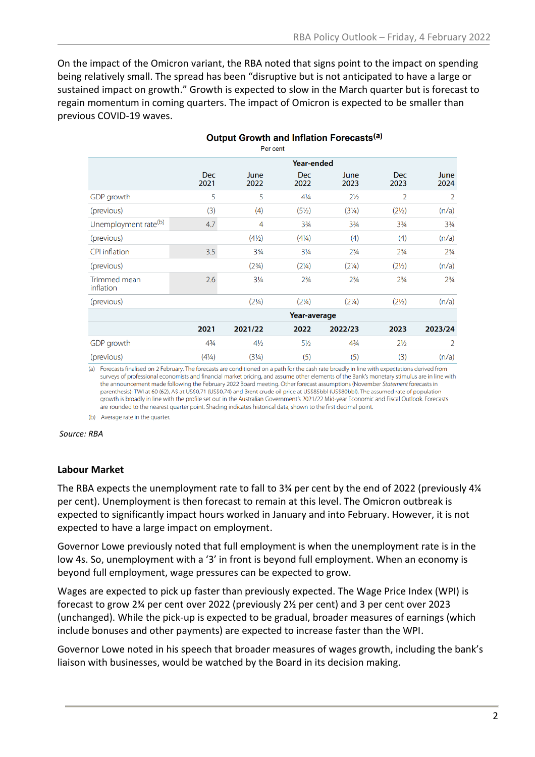On the impact of the Omicron variant, the RBA noted that signs point to the impact on spending being relatively small. The spread has been "disruptive but is not anticipated to have a large or sustained impact on growth." Growth is expected to slow in the March quarter but is forecast to regain momentum in coming quarters. The impact of Omicron is expected to be smaller than previous COVID-19 waves.

Output Growth and Inflation Forecasts<sup>(a)</sup>

| Per cent                  |                    |                                  |                    |                  |                    |                |
|---------------------------|--------------------|----------------------------------|--------------------|------------------|--------------------|----------------|
|                           | <b>Year-ended</b>  |                                  |                    |                  |                    |                |
|                           | <b>Dec</b><br>2021 | June<br>2022                     | <b>Dec</b><br>2022 | June<br>2023     | <b>Dec</b><br>2023 | June<br>2024   |
| GDP growth                | 5                  | 5                                | $4\frac{1}{4}$     | $2\frac{1}{2}$   | $\overline{2}$     | 2              |
| (previous)                | (3)                | (4)                              | $(5\frac{1}{2})$   | $(3\frac{1}{4})$ | $(2\frac{1}{2})$   | (n/a)          |
| Unemployment rate(b)      | 4.7                | $\overline{4}$                   | $3\frac{3}{4}$     | $3\frac{3}{4}$   | $3\frac{3}{4}$     | $3\frac{3}{4}$ |
| (previous)                |                    | $(4\frac{1}{2})$                 | $(4\frac{1}{4})$   | (4)              | (4)                | (n/a)          |
| <b>CPI</b> inflation      | 3.5                | $3\frac{3}{4}$                   | $3\frac{1}{4}$     | $2\frac{3}{4}$   | $2\frac{3}{4}$     | $2\frac{3}{4}$ |
| (previous)                |                    | (2 <sup>3</sup> / <sub>4</sub> ) | $(2\frac{1}{4})$   | $(2\frac{1}{4})$ | $(2\frac{1}{2})$   | (n/a)          |
| Trimmed mean<br>inflation | 2.6                | $3\frac{1}{4}$                   | $2^{3}/4$          | $2^{3}/4$        | $2\frac{3}{4}$     | $2\frac{3}{4}$ |
| (previous)                |                    | $(2\frac{1}{4})$                 | $(2\frac{1}{4})$   | $(2\frac{1}{4})$ | $(2\frac{1}{2})$   | (n/a)          |
|                           | Year-average       |                                  |                    |                  |                    |                |
|                           | 2021               | 2021/22                          | 2022               | 2022/23          | 2023               | 2023/24        |
| GDP growth                | $4\frac{3}{4}$     | $4\frac{1}{2}$                   | $5\frac{1}{2}$     | $4\frac{3}{4}$   | $2\frac{1}{2}$     | $\overline{2}$ |
| (previous)                | $(4\frac{1}{4})$   | (3 <sup>1</sup> / <sub>4</sub> ) | (5)                | (5)              | (3)                | (n/a)          |

(a) Forecasts finalised on 2 February. The forecasts are conditioned on a path for the cash rate broadly in line with expectations derived from surveys of professional economists and financial market pricing, and assume other elements of the Bank's monetary stimulus are in line with the announcement made following the February 2022 Board meeting. Other forecast assumptions (November Statement forecasts in parenthesis): TWI at 60 (62), A\$ at US\$0.71 (US\$0.74) and Brent crude oil price at US\$85bbl (US\$80bbl). The assumed rate of population growth is broadly in line with the profile set out in the Australian Government's 2021/22 Mid-year Economic and Fiscal Outlook. Forecasts are rounded to the nearest quarter point. Shading indicates historical data, shown to the first decimal point.

(b) Average rate in the quarter.

#### *Source: RBA*

#### **Labour Market**

The RBA expects the unemployment rate to fall to 3¾ per cent by the end of 2022 (previously 4¼ per cent). Unemployment is then forecast to remain at this level. The Omicron outbreak is expected to significantly impact hours worked in January and into February. However, it is not expected to have a large impact on employment.

Governor Lowe previously noted that full employment is when the unemployment rate is in the low 4s. So, unemployment with a '3' in front is beyond full employment. When an economy is beyond full employment, wage pressures can be expected to grow.

Wages are expected to pick up faster than previously expected. The Wage Price Index (WPI) is forecast to grow 2¾ per cent over 2022 (previously 2½ per cent) and 3 per cent over 2023 (unchanged). While the pick-up is expected to be gradual, broader measures of earnings (which include bonuses and other payments) are expected to increase faster than the WPI.

Governor Lowe noted in his speech that broader measures of wages growth, including the bank's liaison with businesses, would be watched by the Board in its decision making.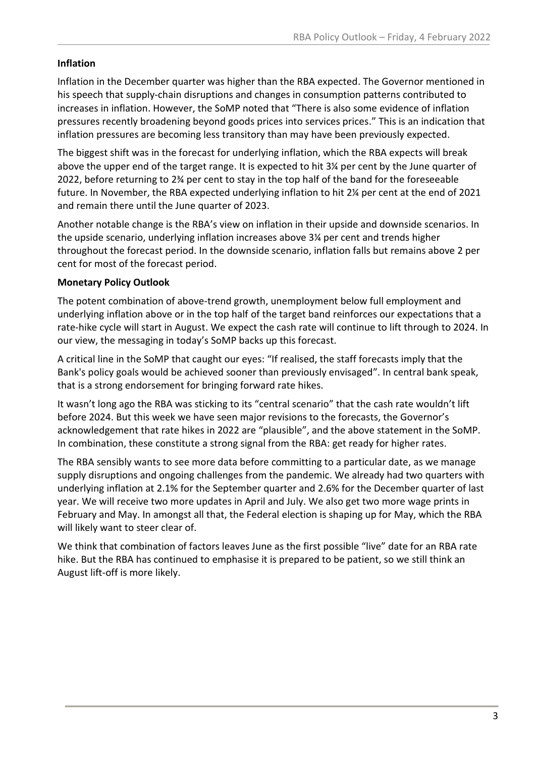# **Inflation**

Inflation in the December quarter was higher than the RBA expected. The Governor mentioned in his speech that supply-chain disruptions and changes in consumption patterns contributed to increases in inflation. However, the SoMP noted that "There is also some evidence of inflation pressures recently broadening beyond goods prices into services prices." This is an indication that inflation pressures are becoming less transitory than may have been previously expected.

The biggest shift was in the forecast for underlying inflation, which the RBA expects will break above the upper end of the target range. It is expected to hit 3¼ per cent by the June quarter of 2022, before returning to 2¾ per cent to stay in the top half of the band for the foreseeable future. In November, the RBA expected underlying inflation to hit 2¼ per cent at the end of 2021 and remain there until the June quarter of 2023.

Another notable change is the RBA's view on inflation in their upside and downside scenarios. In the upside scenario, underlying inflation increases above 3¼ per cent and trends higher throughout the forecast period. In the downside scenario, inflation falls but remains above 2 per cent for most of the forecast period.

# **Monetary Policy Outlook**

The potent combination of above-trend growth, unemployment below full employment and underlying inflation above or in the top half of the target band reinforces our expectations that a rate-hike cycle will start in August. We expect the cash rate will continue to lift through to 2024. In our view, the messaging in today's SoMP backs up this forecast.

A critical line in the SoMP that caught our eyes: "If realised, the staff forecasts imply that the Bank's policy goals would be achieved sooner than previously envisaged". In central bank speak, that is a strong endorsement for bringing forward rate hikes.

It wasn't long ago the RBA was sticking to its "central scenario" that the cash rate wouldn't lift before 2024. But this week we have seen major revisions to the forecasts, the Governor's acknowledgement that rate hikes in 2022 are "plausible", and the above statement in the SoMP. In combination, these constitute a strong signal from the RBA: get ready for higher rates.

The RBA sensibly wants to see more data before committing to a particular date, as we manage supply disruptions and ongoing challenges from the pandemic. We already had two quarters with underlying inflation at 2.1% for the September quarter and 2.6% for the December quarter of last year. We will receive two more updates in April and July. We also get two more wage prints in February and May. In amongst all that, the Federal election is shaping up for May, which the RBA will likely want to steer clear of.

We think that combination of factors leaves June as the first possible "live" date for an RBA rate hike. But the RBA has continued to emphasise it is prepared to be patient, so we still think an August lift-off is more likely.